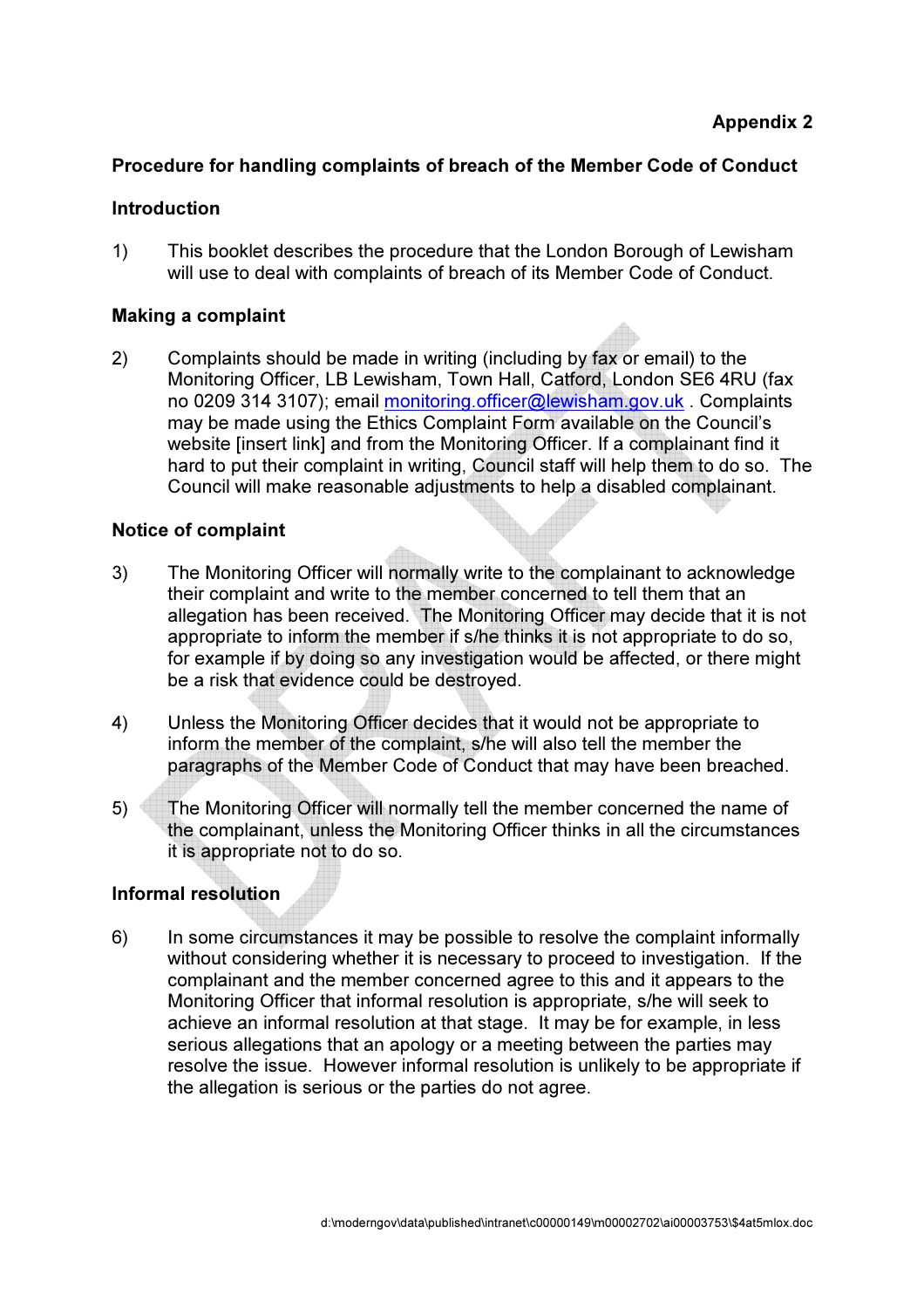## Procedure for handling complaints of breach of the Member Code of Conduct

## Introduction

1) This booklet describes the procedure that the London Borough of Lewisham will use to deal with complaints of breach of its Member Code of Conduct.

## Making a complaint

2) Complaints should be made in writing (including by fax or email) to the Monitoring Officer, LB Lewisham, Town Hall, Catford, London SE6 4RU (fax no 0209 314 3107); email monitoring.officer@lewisham.gov.uk . Complaints may be made using the Ethics Complaint Form available on the Council's website [insert link] and from the Monitoring Officer. If a complainant find it hard to put their complaint in writing, Council staff will help them to do so. The Council will make reasonable adjustments to help a disabled complainant.

## Notice of complaint

- 3) The Monitoring Officer will normally write to the complainant to acknowledge their complaint and write to the member concerned to tell them that an allegation has been received. The Monitoring Officer may decide that it is not appropriate to inform the member if s/he thinks it is not appropriate to do so, for example if by doing so any investigation would be affected, or there might be a risk that evidence could be destroyed.
- 4) Unless the Monitoring Officer decides that it would not be appropriate to inform the member of the complaint, s/he will also tell the member the paragraphs of the Member Code of Conduct that may have been breached.
- 5) The Monitoring Officer will normally tell the member concerned the name of the complainant, unless the Monitoring Officer thinks in all the circumstances it is appropriate not to do so.

# Informal resolution

6) In some circumstances it may be possible to resolve the complaint informally without considering whether it is necessary to proceed to investigation. If the complainant and the member concerned agree to this and it appears to the Monitoring Officer that informal resolution is appropriate, s/he will seek to achieve an informal resolution at that stage. It may be for example, in less serious allegations that an apology or a meeting between the parties may resolve the issue. However informal resolution is unlikely to be appropriate if the allegation is serious or the parties do not agree.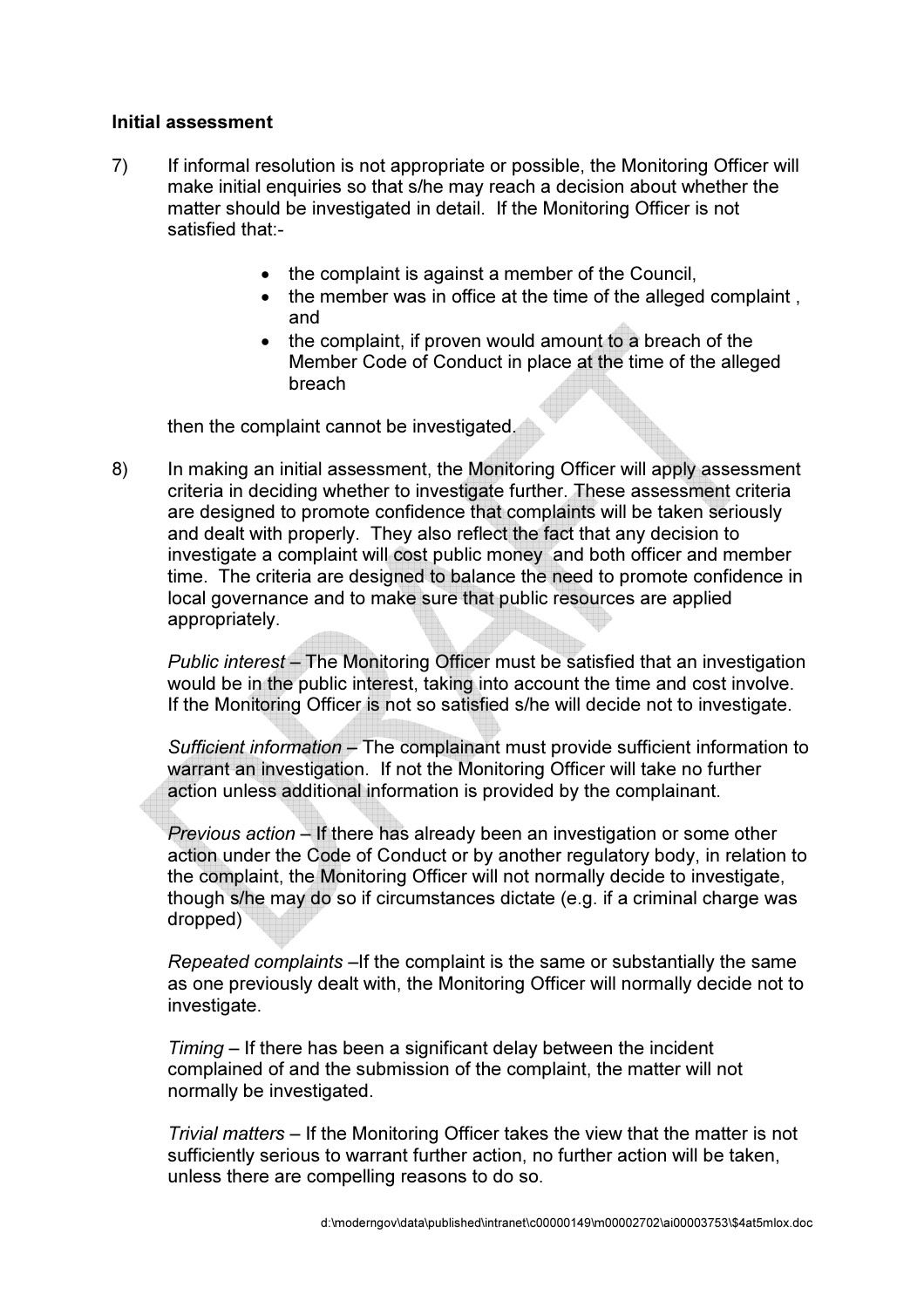#### Initial assessment

- 7) If informal resolution is not appropriate or possible, the Monitoring Officer will make initial enquiries so that s/he may reach a decision about whether the matter should be investigated in detail. If the Monitoring Officer is not satisfied that:-
	- the complaint is against a member of the Council,
	- the member was in office at the time of the alleged complaint , and
	- the complaint, if proven would amount to a breach of the Member Code of Conduct in place at the time of the alleged breach

then the complaint cannot be investigated.

8) In making an initial assessment, the Monitoring Officer will apply assessment criteria in deciding whether to investigate further. These assessment criteria are designed to promote confidence that complaints will be taken seriously and dealt with properly. They also reflect the fact that any decision to investigate a complaint will cost public money and both officer and member time. The criteria are designed to balance the need to promote confidence in local governance and to make sure that public resources are applied appropriately.

Public interest – The Monitoring Officer must be satisfied that an investigation would be in the public interest, taking into account the time and cost involve. If the Monitoring Officer is not so satisfied s/he will decide not to investigate.

Sufficient information – The complainant must provide sufficient information to warrant an investigation. If not the Monitoring Officer will take no further action unless additional information is provided by the complainant.

Previous action – If there has already been an investigation or some other action under the Code of Conduct or by another regulatory body, in relation to the complaint, the Monitoring Officer will not normally decide to investigate, though s/he may do so if circumstances dictate (e.g. if a criminal charge was dropped)

Repeated complaints –If the complaint is the same or substantially the same as one previously dealt with, the Monitoring Officer will normally decide not to investigate.

Timing – If there has been a significant delay between the incident complained of and the submission of the complaint, the matter will not normally be investigated.

Trivial matters – If the Monitoring Officer takes the view that the matter is not sufficiently serious to warrant further action, no further action will be taken, unless there are compelling reasons to do so.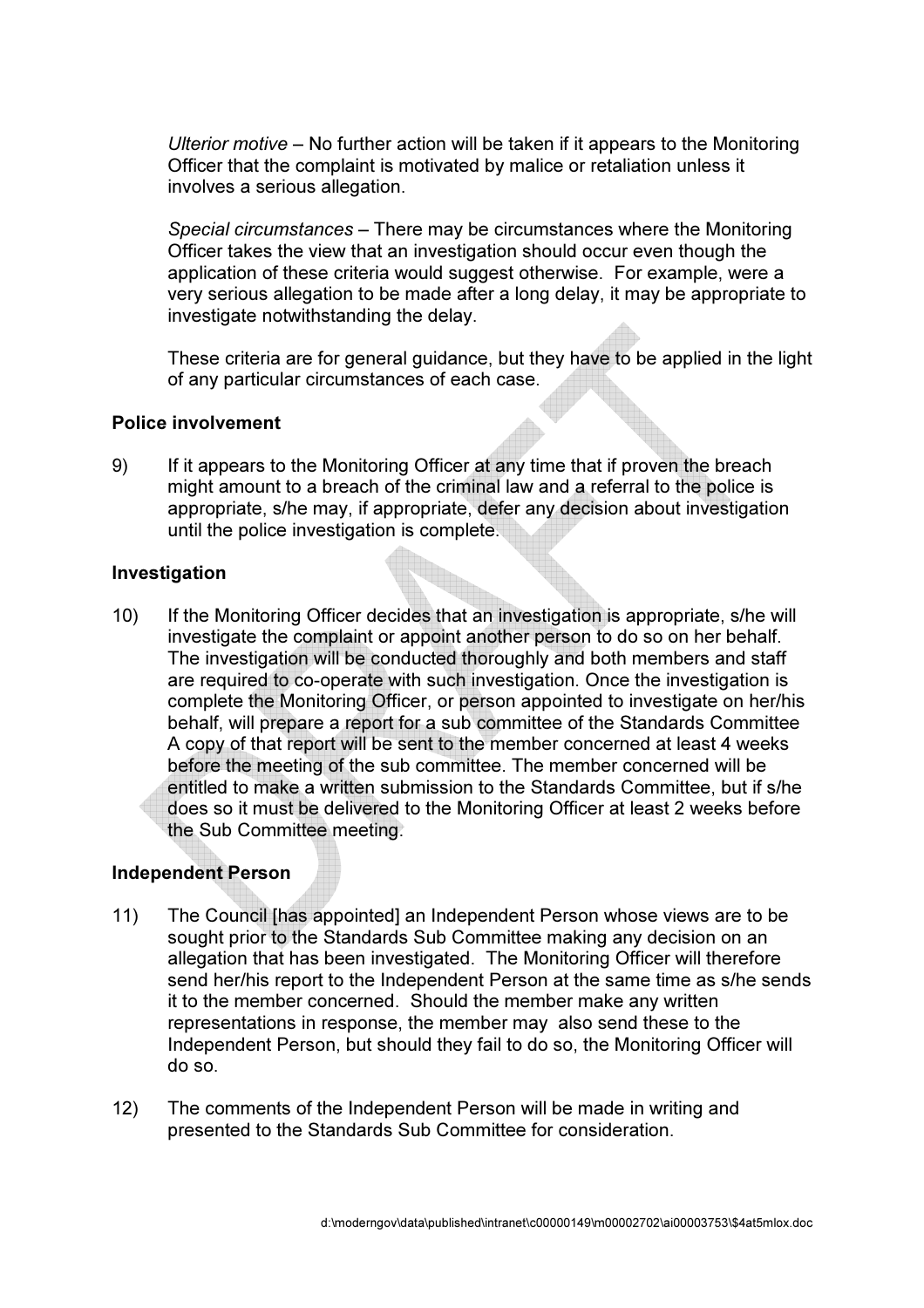Ulterior motive – No further action will be taken if it appears to the Monitoring Officer that the complaint is motivated by malice or retaliation unless it involves a serious allegation.

Special circumstances – There may be circumstances where the Monitoring Officer takes the view that an investigation should occur even though the application of these criteria would suggest otherwise. For example, were a very serious allegation to be made after a long delay, it may be appropriate to investigate notwithstanding the delay.

These criteria are for general guidance, but they have to be applied in the light of any particular circumstances of each case.

#### Police involvement

9) If it appears to the Monitoring Officer at any time that if proven the breach might amount to a breach of the criminal law and a referral to the police is appropriate, s/he may, if appropriate, defer any decision about investigation until the police investigation is complete.

#### **Investigation**

10) If the Monitoring Officer decides that an investigation is appropriate, s/he will investigate the complaint or appoint another person to do so on her behalf. The investigation will be conducted thoroughly and both members and staff are required to co-operate with such investigation. Once the investigation is complete the Monitoring Officer, or person appointed to investigate on her/his behalf, will prepare a report for a sub committee of the Standards Committee A copy of that report will be sent to the member concerned at least 4 weeks before the meeting of the sub committee. The member concerned will be entitled to make a written submission to the Standards Committee, but if s/he does so it must be delivered to the Monitoring Officer at least 2 weeks before the Sub Committee meeting.

## Independent Person

- 11) The Council [has appointed] an Independent Person whose views are to be sought prior to the Standards Sub Committee making any decision on an allegation that has been investigated. The Monitoring Officer will therefore send her/his report to the Independent Person at the same time as s/he sends it to the member concerned. Should the member make any written representations in response, the member may also send these to the Independent Person, but should they fail to do so, the Monitoring Officer will do so.
- 12) The comments of the Independent Person will be made in writing and presented to the Standards Sub Committee for consideration.